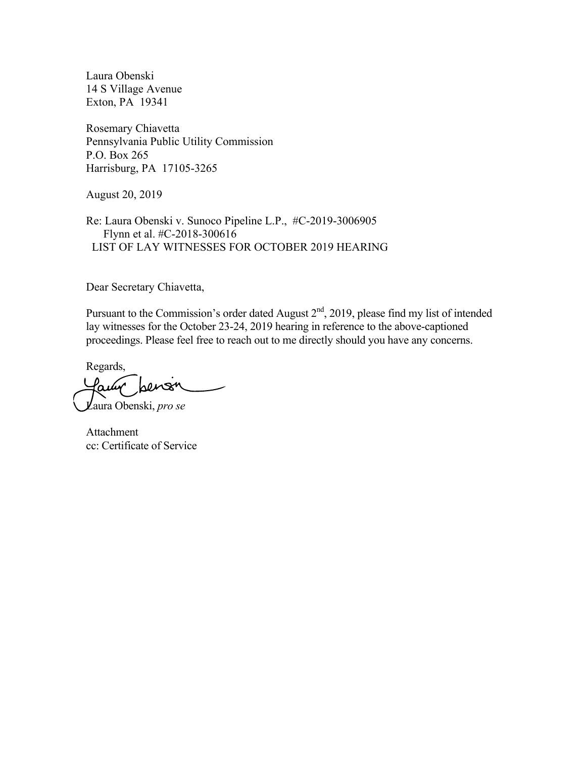Laura Obenski 14 S Village Avenue Exton, PA 19341

Rosemary Chiavetta Pennsylvania Public Utility Commission P.O. Box 265 Harrisburg, PA 17105-3265

August 20, 2019

Re: Laura Obenski v. Sunoco Pipeline L.P., #C-2019-3006905 Flynn et al. #C-2018-300616 LIST OF LAY WITNESSES FOR OCTOBER 2019 HEARING

Dear Secretary Chiavetta,

Pursuant to the Commission's order dated August 2<sup>nd</sup>, 2019, please find my list of intended lay witnesses for the October 23-24, 2019 hearing in reference to the above-captioned proceedings. Please feel free to reach out to me directly should you have any concerns.

Regards,

Laura Obenski, *pro se*

Attachment cc: Certificate of Service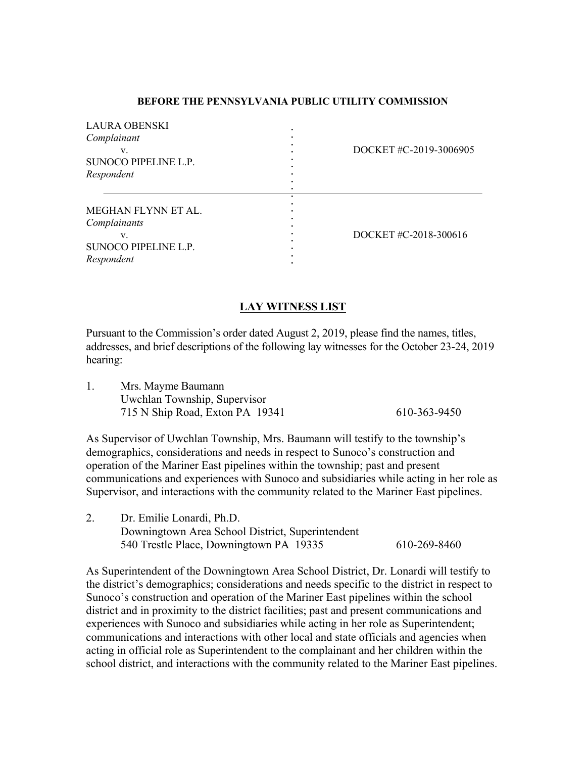## **BEFORE THE PENNSYLVANIA PUBLIC UTILITY COMMISSION**

| <b>LAURA OBENSKI</b><br>Complainant<br>SUNOCO PIPELINE L.P.<br>Respondent<br>MEGHAN FLYNN ET AL.<br>Complainants                                                                                                                                                                                                                                                                                                                                                                                                                                                                                                                                         | DOCKET #C-2019-3006905                                                                       |  |  |  |
|----------------------------------------------------------------------------------------------------------------------------------------------------------------------------------------------------------------------------------------------------------------------------------------------------------------------------------------------------------------------------------------------------------------------------------------------------------------------------------------------------------------------------------------------------------------------------------------------------------------------------------------------------------|----------------------------------------------------------------------------------------------|--|--|--|
| V.<br>SUNOCO PIPELINE L.P.<br>Respondent                                                                                                                                                                                                                                                                                                                                                                                                                                                                                                                                                                                                                 | DOCKET #C-2018-300616                                                                        |  |  |  |
| <b>LAY WITNESS LIST</b>                                                                                                                                                                                                                                                                                                                                                                                                                                                                                                                                                                                                                                  |                                                                                              |  |  |  |
| Pursuant to the Commission's order dated August 2, 2019, please find the names, titles,<br>hearing:                                                                                                                                                                                                                                                                                                                                                                                                                                                                                                                                                      | addresses, and brief descriptions of the following lay witnesses for the October 23-24, 2019 |  |  |  |
| 1.<br>Mrs. Mayme Baumann<br>Uwchlan Township, Supervisor<br>715 N Ship Road, Exton PA 19341                                                                                                                                                                                                                                                                                                                                                                                                                                                                                                                                                              | 610-363-9450                                                                                 |  |  |  |
| As Supervisor of Uwchlan Township, Mrs. Baumann will testify to the township's<br>demographics, considerations and needs in respect to Sunoco's construction and<br>operation of the Mariner East pipelines within the township; past and present<br>Supervisor, and interactions with the community related to the Mariner East pipelines.                                                                                                                                                                                                                                                                                                              | communications and experiences with Sunoco and subsidiaries while acting in her role as      |  |  |  |
| 2.<br>Dr. Emilie Lonardi, Ph.D.<br>Downingtown Area School District, Superintendent<br>540 Trestle Place, Downingtown PA 19335                                                                                                                                                                                                                                                                                                                                                                                                                                                                                                                           | 610-269-8460                                                                                 |  |  |  |
| As Superintendent of the Downingtown Area School District, Dr. Lonardi will testify to<br>the district's demographics; considerations and needs specific to the district in respect to<br>Sunoco's construction and operation of the Mariner East pipelines within the school<br>district and in proximity to the district facilities; past and present communications and<br>experiences with Sunoco and subsidiaries while acting in her role as Superintendent;<br>communications and interactions with other local and state officials and agencies when<br>acting in official role as Superintendent to the complainant and her children within the | school district, and interactions with the community related to the Mariner East pipelines.  |  |  |  |

## **LAY WITNESS LIST**

| Mrs. Mayme Baumann              |              |
|---------------------------------|--------------|
| Uwchlan Township, Supervisor    |              |
| 715 N Ship Road, Exton PA 19341 | 610-363-9450 |

| 2. | Dr. Emilie Lonardi, Ph.D.                        |              |
|----|--------------------------------------------------|--------------|
|    | Downingtown Area School District, Superintendent |              |
|    | 540 Trestle Place, Downingtown PA 19335          | 610-269-8460 |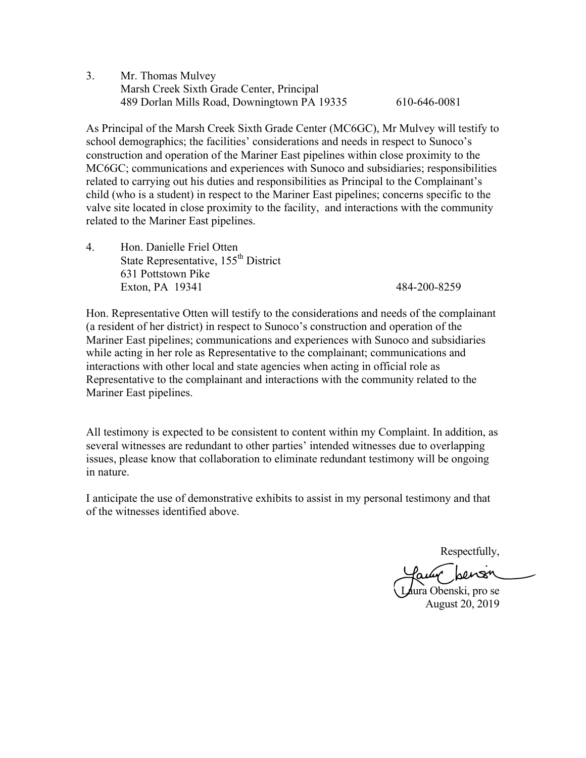3. Mr. Thomas Mulvey Marsh Creek Sixth Grade Center, Principal 489 Dorlan Mills Road, Downingtown PA 19335 610-646-0081

As Principal of the Marsh Creek Sixth Grade Center (MC6GC), Mr Mulvey will testify to school demographics; the facilities' considerations and needs in respect to Sunoco's construction and operation of the Mariner East pipelines within close proximity to the MC6GC; communications and experiences with Sunoco and subsidiaries; responsibilities related to carrying out his duties and responsibilities as Principal to the Complainant's child (who is a student) in respect to the Mariner East pipelines; concerns specific to the valve site located in close proximity to the facility, and interactions with the community related to the Mariner East pipelines.

4. Hon. Danielle Friel Otten State Representative, 155<sup>th</sup> District 631 Pottstown Pike Exton, PA 19341 484-200-8259

Hon. Representative Otten will testify to the considerations and needs of the complainant (a resident of her district) in respect to Sunoco's construction and operation of the Mariner East pipelines; communications and experiences with Sunoco and subsidiaries while acting in her role as Representative to the complainant; communications and interactions with other local and state agencies when acting in official role as Representative to the complainant and interactions with the community related to the Mariner East pipelines.

All testimony is expected to be consistent to content within my Complaint. In addition, as several witnesses are redundant to other parties' intended witnesses due to overlapping issues, please know that collaboration to eliminate redundant testimony will be ongoing in nature.

I anticipate the use of demonstrative exhibits to assist in my personal testimony and that of the witnesses identified above.

Respectfully,

ura Obenski, pro se August 20, 2019